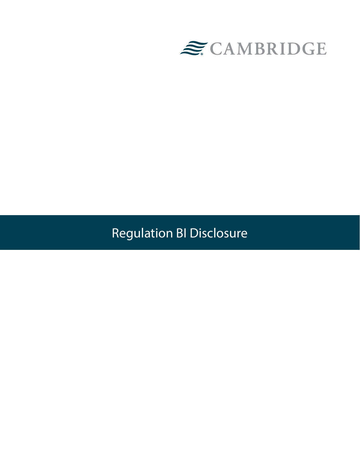

Regulation BI Disclosure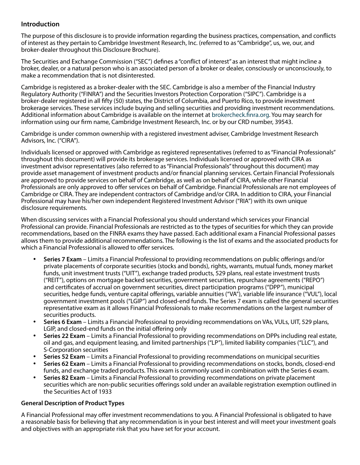## **Introduction**

The purpose of this disclosure is to provide information regarding the business practices, compensation, and conflicts of interest as they pertain to Cambridge Investment Research, Inc. (referred to as "Cambridge", us, we, our, and broker-dealer throughout this Disclosure Brochure).

The Securities and Exchange Commission ("SEC") defines a "conflict of interest" as an interest that might incline a broker, dealer, or a natural person who is an associated person of a broker or dealer, consciously or unconsciously, to make a recommendation that is not disinterested.

Cambridge is registered as a broker-dealer with the SEC. Cambridge is also a member of the Financial Industry Regulatory Authority ("FINRA") and the Securities Investors Protection Corporation ("SIPC"). Cambridge is a broker-dealer registered in all fifty (50) states, the District of Columbia, and Puerto Rico, to provide investment brokerage services. These services include buying and selling securities and providing investment recommendations. Additional information about Cambridge is available on the internet at [brokercheck.finra.org.](https://brokercheck.finra.org/) You may search for information using our firm name, Cambridge Investment Research, Inc. or by our CRD number, 39543.

Cambridge is under common ownership with a registered investment adviser, Cambridge Investment Research Advisors, Inc. ("CIRA").

Individuals licensed or approved with Cambridge as registered representatives (referred to as "Financial Professionals" throughout this document) will provide its brokerage services. Individuals licensed or approved with CIRA as investment advisor representatives (also referred to as "Financial Professionals" throughout this document) may provide asset management of investment products and/or financial planning services. Certain Financial Professionals are approved to provide services on behalf of Cambridge, as well as on behalf of CIRA, while other Financial Professionals are only approved to offer services on behalf of Cambridge. Financial Professionals are not employees of Cambridge or CIRA. They are independent contractors of Cambridge and/or CIRA. In addition to CIRA, your Financial Professional may have his/her own independent Registered Investment Advisor ("RIA") with its own unique disclosure requirements.

When discussing services with a Financial Professional you should understand which services your Financial Professional can provide. Financial Professionals are restricted as to the types of securities for which they can provide recommendations, based on the FINRA exams they have passed. Each additional exam a Financial Professional passes allows them to provide additional recommendations. The following is the list of exams and the associated products for which a Financial Professional is allowed to offer services.

- • **Series 7 Exam** Limits a Financial Professional to providing recommendations on public offerings and/or private placements of corporate securities (stocks and bonds), rights, warrants, mutual funds, money market funds, unit investment trusts ("UIT"), exchange traded products, 529 plans, real estate investment trusts ("REIT"), options on mortgage backed securities, government securities, repurchase agreements ("REPO") and certificates of accrual on government securities, direct participation programs ("DPP"), municipal securities, hedge funds, venture capital offerings, variable annuities ("VA"), variable life insurance ("VUL"), local government investment pools ("LGIP") and closed-end funds. The Series 7 exam is called the general securities representative exam as it allows Financial Professionals to make recommendations on the largest number of securities products.
- **Series 6 Exam** Limits a Financial Professional to providing recommendations on VAs, VULs, UIT, 529 plans, LGIP, and closed-end funds on the initial offering only
- **Series 22 Exam** Limits a Financial Professional to providing recommendations on DPPs including real estate, oil and gas, and equipment leasing, and limited partnerships ("LP"), limited liability companies ("LLC"), and S-Corporation securities
- **Series 52 Exam** Limits a Financial Professional to providing recommendations on municipal securities
- **Series 62 Exam** Limits a Financial Professional to providing recommendations on stocks, bonds, closed-end funds, and exchange traded products. This exam is commonly used in combination with the Series 6 exam.
- **Series 82 Exam** Limits a Financial Professional to providing recommendations on private placement securities which are non-public securities offerings sold under an available registration exemption outlined in the Securities Act of 1933

### **General Description of Product Types**

A Financial Professional may offer investment recommendations to you. A Financial Professional is obligated to have a reasonable basis for believing that any recommendation is in your best interest and will meet your investment goals and objectives with an appropriate risk that you have set for your account.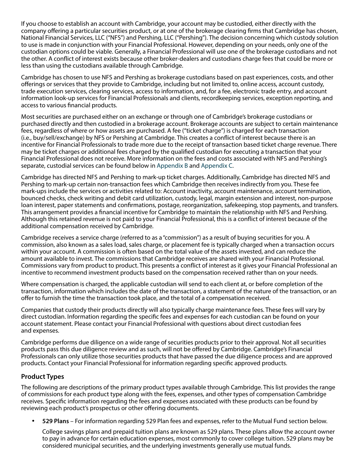If you choose to establish an account with Cambridge, your account may be custodied, either directly with the company offering a particular securities product, or at one of the brokerage clearing firms that Cambridge has chosen, National Financial Services, LLC ("NFS") and Pershing, LLC ("Pershing"). The decision concerning which custody solution to use is made in conjunction with your Financial Professional. However, depending on your needs, only one of the custodian options could be viable. Generally, a Financial Professional will use one of the brokerage custodians and not the other. A conflict of interest exists because other broker-dealers and custodians charge fees that could be more or less than using the custodians available through Cambridge.

Cambridge has chosen to use NFS and Pershing as brokerage custodians based on past experiences, costs, and other offerings or services that they provide to Cambridge, including but not limited to, online access, account custody, trade execution services, clearing services, access to information, and, for a fee, electronic trade entry, and account information look-up services for Financial Professionals and clients, recordkeeping services, exception reporting, and access to various financial products.

Most securities are purchased either on an exchange or through one of Cambridge's brokerage custodians or purchased directly and then custodied in a brokerage account. Brokerage accounts are subject to certain maintenance fees, regardless of where or how assets are purchased. A fee ("ticket charge") is charged for each transaction (i.e., buy/sell/exchange) by NFS or Pershing at Cambridge. This creates a conflict of interest because there is an incentive for Financial Professionals to trade more due to the receipt of transaction based ticket charge revenue. There may be ticket charges or additional fees charged by the qualified custodian for executing a transaction that your Financial Professional does not receive. More information on the fees and costs associated with NFS and Pershing's separate, custodial services can be found below in [Appendix B](#page-15-0) and [Appendix C](#page-18-0).

Cambridge has directed NFS and Pershing to mark-up ticket charges. Additionally, Cambridge has directed NFS and Pershing to mark-up certain non-transaction fees which Cambridge then receives indirectly from you. These fee mark-ups include the services or activities related to: Account inactivity, account maintenance, account termination, bounced checks, check writing and debit card utilization, custody, legal, margin extension and interest, non-purpose loan interest, paper statements and confirmations, postage, reorganization, safekeeping, stop payments, and transfers. This arrangement provides a financial incentive for Cambridge to maintain the relationship with NFS and Pershing. Although this retained revenue is not paid to your Financial Professional, this is a conflict of interest because of the additional compensation received by Cambridge.

Cambridge receives a service charge (referred to as a "commission") as a result of buying securities for you. A commission, also known as a sales load, sales charge, or placement fee is typically charged when a transaction occurs within your account. A commission is often based on the total value of the assets invested, and can reduce the amount available to invest. The commissions that Cambridge receives are shared with your Financial Professional. Commissions vary from product to product. This presents a conflict of interest as it gives your Financial Professional an incentive to recommend investment products based on the compensation received rather than on your needs.

Where compensation is charged, the applicable custodian will send to each client at, or before completion of the transaction, information which includes the date of the transaction, a statement of the nature of the transaction, or an offer to furnish the time the transaction took place, and the total of a compensation received.

Companies that custody their products directly will also typically charge maintenance fees. These fees will vary by direct custodian. Information regarding the specific fees and expenses for each custodian can be found on your account statement. Please contact your Financial Professional with questions about direct custodian fees and expenses.

Cambridge performs due diligence on a wide range of securities products prior to their approval. Not all securities products pass this due diligence review and as such, will not be offered by Cambridge. Cambridge's Financial Professionals can only utilize those securities products that have passed the due diligence process and are approved products. Contact your Financial Professional for information regarding specific approved products.

## **Product Types**

The following are descriptions of the primary product types available through Cambridge. This list provides the range of commissions for each product type along with the fees, expenses, and other types of compensation Cambridge receives. Specific information regarding the fees and expenses associated with these products can be found by reviewing each product's prospectus or other offering documents.

**529 Plans** – For information regarding 529 Plan fees and expenses, refer to the Mutual Fund section below.

College savings plans and prepaid tuition plans are known as 529 plans. These plans allow the account owner to pay in advance for certain education expenses, most commonly to cover college tuition. 529 plans may be considered municipal securities, and the underlying investments generally use mutual funds.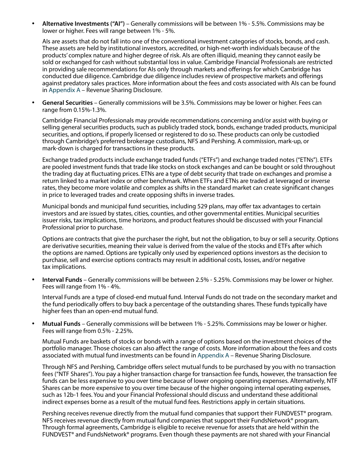• **Alternative Investments ("AI")** – Generally commissions will be between 1% - 5.5%. Commissions may be lower or higher. Fees will range between 1% - 5%.

AIs are assets that do not fall into one of the conventional investment categories of stocks, bonds, and cash. These assets are held by institutional investors, accredited, or high-net-worth individuals because of the products' complex nature and higher degree of risk. AIs are often illiquid, meaning they cannot easily be sold or exchanged for cash without substantial loss in value. Cambridge Financial Professionals are restricted in providing sale recommendations for AIs only through markets and offerings for which Cambridge has conducted due diligence. Cambridge due diligence includes review of prospective markets and offerings against predatory sales practices. More information about the fees and costs associated with AIs can be found in [Appendix A](#page-10-0) – Revenue Sharing Disclosure.

• **General Securities** – Generally commissions will be 3.5%. Commissions may be lower or higher. Fees can range from 0.15%-1.3%.

Cambridge Financial Professionals may provide recommendations concerning and/or assist with buying or selling general securities products, such as publicly traded stock, bonds, exchange traded products, municipal securities, and options, if properly licensed or registered to do so. These products can only be custodied through Cambridge's preferred brokerage custodians, NFS and Pershing. A commission, mark-up, or mark-down is charged for transactions in these products.

Exchange traded products include exchange traded funds ("ETFs") and exchange traded notes ("ETNs"). ETFs are pooled investment funds that trade like stocks on stock exchanges and can be bought or sold throughout the trading day at fluctuating prices. ETNs are a type of debt security that trade on exchanges and promise a return linked to a market index or other benchmark. When ETFs and ETNs are traded at leveraged or inverse rates, they become more volatile and complex as shifts in the standard market can create significant changes in price to leveraged trades and create opposing shifts in inverse trades.

Municipal bonds and municipal fund securities, including 529 plans, may offer tax advantages to certain investors and are issued by states, cities, counties, and other governmental entities. Municipal securities issuer risks, tax implications, time horizons, and product features should be discussed with your Financial Professional prior to purchase.

Options are contracts that give the purchaser the right, but not the obligation, to buy or sell a security. Options are derivative securities, meaning their value is derived from the value of the stocks and ETFs after which the options are named. Options are typically only used by experienced options investors as the decision to purchase, sell and exercise options contracts may result in additional costs, losses, and/or negative tax implications.

**Interval Funds** – Generally commissions will be between 2.5% - 5.25%. Commissions may be lower or higher. Fees will range from 1% - 4%.

Interval Funds are a type of closed-end mutual fund. Interval Funds do not trade on the secondary market and the fund periodically offers to buy back a percentage of the outstanding shares. These funds typically have higher fees than an open-end mutual fund.

• **Mutual Funds** – Generally commissions will be between 1% - 5.25%. Commissions may be lower or higher. Fees will range from 0.5% - 2.25%.

Mutual Funds are baskets of stocks or bonds with a range of options based on the investment choices of the portfolio manager. Those choices can also affect the range of costs. More information about the fees and costs associated with mutual fund investments can be found in [Appendix A](#page-10-0) – Revenue Sharing Disclosure.

Through NFS and Pershing, Cambridge offers select mutual funds to be purchased by you with no transaction fees ("NTF Shares"). You pay a higher transaction charge for transaction fee funds, however, the transaction fee funds can be less expensive to you over time because of lower ongoing operating expenses. Alternatively, NTF Shares can be more expensive to you over time because of the higher ongoing internal operating expenses, such as 12b-1 fees. You and your Financial Professional should discuss and understand these additional indirect expenses borne as a result of the mutual fund fees. Restrictions apply in certain situations.

Pershing receives revenue directly from the mutual fund companies that support their FUNDVEST® program. NFS receives revenue directly from mutual fund companies that support their FundsNetwork® program. Through formal agreements, Cambridge is eligible to receive revenue for assets that are held within the FUNDVEST<sup>®</sup> and FundsNetwork<sup>®</sup> programs. Even though these payments are not shared with your Financial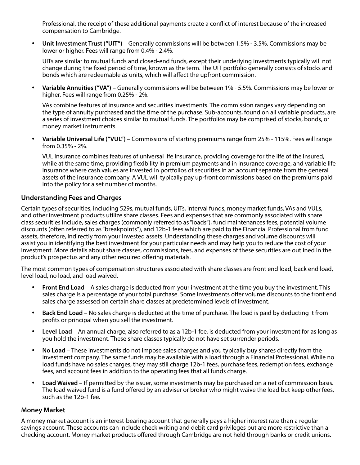Professional, the receipt of these additional payments create a conflict of interest because of the increased compensation to Cambridge.

• **Unit Investment Trust ("UIT")** – Generally commissions will be between 1.5% - 3.5%. Commissions may be lower or higher. Fees will range from 0.4% - 2.4%.

UITs are similar to mutual funds and closed-end funds, except their underlying investments typically will not change during the fixed period of time, known as the term. The UIT portfolio generally consists of stocks and bonds which are redeemable as units, which will affect the upfront commission.

**Variable Annuities ("VA")** – Generally commissions will be between 1% - 5.5%. Commissions may be lower or higher. Fees will range from 0.25% - 2%.

VAs combine features of insurance and securities investments. The commission ranges vary depending on the type of annuity purchased and the time of the purchase. Sub-accounts, found on all variable products, are a series of investment choices similar to mutual funds. The portfolios may be comprised of stocks, bonds, or money market instruments.

**Variable Universal Life ("VUL")** – Commissions of starting premiums range from 25% - 115%. Fees will range from 0.35% - 2%.

VUL insurance combines features of universal life insurance, providing coverage for the life of the insured, while at the same time, providing flexibility in premium payments and in insurance coverage, and variable life insurance where cash values are invested in portfolios of securities in an account separate from the general assets of the insurance company. A VUL will typically pay up-front commissions based on the premiums paid into the policy for a set number of months.

## **Understanding Fees and Charges**

Certain types of securities, including 529s, mutual funds, UITs, interval funds, money market funds, VAs and VULs, and other investment products utilize share classes. Fees and expenses that are commonly associated with share class securities include, sales charges (commonly referred to as "loads"), fund maintenances fees, potential volume discounts (often referred to as "breakpoints"), and 12b-1 fees which are paid to the Financial Professional from fund assets, therefore, indirectly from your invested assets. Understanding these charges and volume discounts will assist you in identifying the best investment for your particular needs and may help you to reduce the cost of your investment. More details about share classes, commissions, fees, and expenses of these securities are outlined in the product's prospectus and any other required offering materials.

The most common types of compensation structures associated with share classes are front end load, back end load, level load, no load, and load waived.

- • **Front End Load**  A sales charge is deducted from your investment at the time you buy the investment. This sales charge is a percentage of your total purchase. Some investments offer volume discounts to the front end sales charge assessed on certain share classes at predetermined levels of investment.
- • **Back End Load** No sales charge is deducted at the time of purchase. The load is paid by deducting it from profits or principal when you sell the investment.
- **Level Load** An annual charge, also referred to as a 12b-1 fee, is deducted from your investment for as long as you hold the investment. These share classes typically do not have set surrender periods.
- No Load These investments do not impose sales charges and you typically buy shares directly from the investment company. The same funds may be available with a load through a Financial Professional. While no load funds have no sales charges, they may still charge 12b-1 fees, purchase fees, redemption fees, exchange fees, and account fees in addition to the operating fees that all funds charge.
- • **Load Waived** If permitted by the issuer, some investments may be purchased on a net of commission basis. The load waived fund is a fund offered by an adviser or broker who might waive the load but keep other fees, such as the 12b-1 fee.

### **Money Market**

A money market account is an interest-bearing account that generally pays a higher interest rate than a regular savings account. These accounts can include check writing and debit card privileges but are more restrictive than a checking account. Money market products offered through Cambridge are not held through banks or credit unions.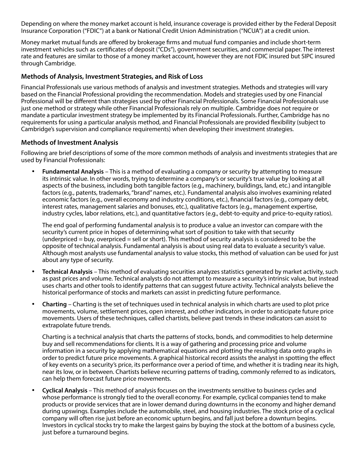Depending on where the money market account is held, insurance coverage is provided either by the Federal Deposit Insurance Corporation ("FDIC") at a bank or National Credit Union Administration ("NCUA") at a credit union.

Money market mutual funds are offered by brokerage firms and mutual fund companies and include short-term investment vehicles such as certificates of deposit ("CDs"), government securities, and commercial paper. The interest rate and features are similar to those of a money market account, however they are not FDIC insured but SIPC insured through Cambridge.

## **Methods of Analysis, Investment Strategies, and Risk of Loss**

Financial Professionals use various methods of analysis and investment strategies. Methods and strategies will vary based on the Financial Professional providing the recommendation. Models and strategies used by one Financial Professional will be different than strategies used by other Financial Professionals. Some Financial Professionals use just one method or strategy while other Financial Professionals rely on multiple. Cambridge does not require or mandate a particular investment strategy be implemented by its Financial Professionals. Further, Cambridge has no requirements for using a particular analysis method, and Financial Professionals are provided flexibility (subject to Cambridge's supervision and compliance requirements) when developing their investment strategies.

## **Methods of Investment Analysis**

Following are brief descriptions of some of the more common methods of analysis and investments strategies that are used by Financial Professionals:

**Fundamental Analysis** – This is a method of evaluating a company or security by attempting to measure its intrinsic value. In other words, trying to determine a company's or security's true value by looking at all aspects of the business, including both tangible factors (e.g., machinery, buildings, land, etc.) and intangible factors (e.g., patents, trademarks, "brand" names, etc.). Fundamental analysis also involves examining related economic factors (e.g., overall economy and industry conditions, etc.), financial factors (e.g., company debt, interest rates, management salaries and bonuses, etc.), qualitative factors (e.g., management expertise, industry cycles, labor relations, etc.), and quantitative factors (e.g., debt-to-equity and price-to-equity ratios).

The end goal of performing fundamental analysis is to produce a value an investor can compare with the security's current price in hopes of determining what sort of position to take with that security (underpriced = buy, overpriced = sell or short). This method of security analysis is considered to be the opposite of technical analysis. Fundamental analysis is about using real data to evaluate a security's value. Although most analysts use fundamental analysis to value stocks, this method of valuation can be used for just about any type of security.

- **Technical Analysis** This method of evaluating securities analyzes statistics generated by market activity, such as past prices and volume. Technical analysts do not attempt to measure a security's intrinsic value, but instead uses charts and other tools to identify patterns that can suggest future activity. Technical analysts believe the historical performance of stocks and markets can assist in predicting future performance.
- **Charting** Charting is the set of techniques used in technical analysis in which charts are used to plot price movements, volume, settlement prices, open interest, and other indicators, in order to anticipate future price movements. Users of these techniques, called chartists, believe past trends in these indicators can assist to extrapolate future trends.

Charting is a technical analysis that charts the patterns of stocks, bonds, and commodities to help determine buy and sell recommendations for clients. It is a way of gathering and processing price and volume information in a security by applying mathematical equations and plotting the resulting data onto graphs in order to predict future price movements. A graphical historical record assists the analyst in spotting the effect of key events on a security's price, its performance over a period of time, and whether it is trading near its high, near its low, or in between. Chartists believe recurring patterns of trading, commonly referred to as indicators, can help them forecast future price movements.

• **Cyclical Analysis** – This method of analysis focuses on the investments sensitive to business cycles and whose performance is strongly tied to the overall economy. For example, cyclical companies tend to make products or provide services that are in lower demand during downturns in the economy and higher demand during upswings. Examples include the automobile, steel, and housing industries. The stock price of a cyclical company will often rise just before an economic upturn begins, and fall just before a downturn begins. Investors in cyclical stocks try to make the largest gains by buying the stock at the bottom of a business cycle, just before a turnaround begins.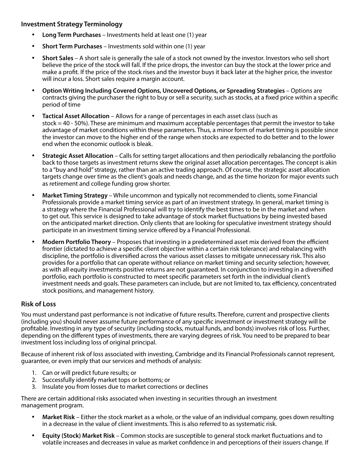## **Investment Strategy Terminology**

- **Long Term Purchases** Investments held at least one (1) year
- **Short Term Purchases** Investments sold within one (1) year
- **Short Sales** A short sale is generally the sale of a stock not owned by the investor. Investors who sell short believe the price of the stock will fall. If the price drops, the investor can buy the stock at the lower price and make a profit. If the price of the stock rises and the investor buys it back later at the higher price, the investor will incur a loss. Short sales require a margin account.
- • **Option Writing Including Covered Options, Uncovered Options, or Spreading Strategies** Options are contracts giving the purchaser the right to buy or sell a security, such as stocks, at a fixed price within a specific period of time
- Tactical Asset Allocation Allows for a range of percentages in each asset class (such as stock = 40 - 50%). These are minimum and maximum acceptable percentages that permit the investor to take advantage of market conditions within these parameters. Thus, a minor form of market timing is possible since the investor can move to the higher end of the range when stocks are expected to do better and to the lower end when the economic outlook is bleak.
- **Strategic Asset Allocation Calls for setting target allocations and then periodically rebalancing the portfolio** back to those targets as investment returns skew the original asset allocation percentages. The concept is akin to a "buy and hold" strategy, rather than an active trading approach. Of course, the strategic asset allocation targets change over time as the client's goals and needs change, and as the time horizon for major events such as retirement and college funding grow shorter.
- **Market Timing Strategy While uncommon and typically not recommended to clients, some Financial** Professionals provide a market timing service as part of an investment strategy. In general, market timing is a strategy where the Financial Professional will try to identify the best times to be in the market and when to get out. This service is designed to take advantage of stock market fluctuations by being invested based on the anticipated market direction. Only clients that are looking for speculative investment strategy should participate in an investment timing service offered by a Financial Professional.
- • **Modern Portfolio Theory** Proposes that investing in a predetermined asset mix derived from the efficient frontier (dictated to achieve a specific client objective within a certain risk tolerance) and rebalancing with discipline, the portfolio is diversified across the various asset classes to mitigate unnecessary risk. This also provides for a portfolio that can operate without reliance on market timing and security selection; however, as with all equity investments positive returns are not guaranteed. In conjunction to investing in a diversified portfolio, each portfolio is constructed to meet specific parameters set forth in the individual client's investment needs and goals. These parameters can include, but are not limited to, tax efficiency, concentrated stock positions, and management history.

## **Risk of Loss**

You must understand past performance is not indicative of future results. Therefore, current and prospective clients (including you) should never assume future performance of any specific investment or investment strategy will be profitable. Investing in any type of security (including stocks, mutual funds, and bonds) involves risk of loss. Further, depending on the different types of investments, there are varying degrees of risk. You need to be prepared to bear investment loss including loss of original principal.

Because of inherent risk of loss associated with investing, Cambridge and its Financial Professionals cannot represent, guarantee, or even imply that our services and methods of analysis:

- 1. Can or will predict future results; or
- 2. Successfully identify market tops or bottoms; or
- 3. Insulate you from losses due to market corrections or declines

There are certain additional risks associated when investing in securities through an investment management program.

- **Market Risk** Either the stock market as a whole, or the value of an individual company, goes down resulting in a decrease in the value of client investments. This is also referred to as systematic risk.
- • **Equity (Stock) Market Risk** Common stocks are susceptible to general stock market fluctuations and to volatile increases and decreases in value as market confidence in and perceptions of their issuers change. If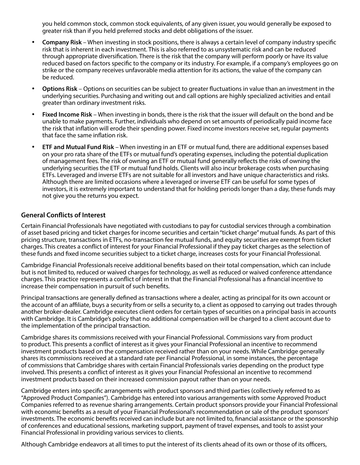you held common stock, common stock equivalents, of any given issuer, you would generally be exposed to greater risk than if you held preferred stocks and debt obligations of the issuer.

- **Company Risk** When investing in stock positions, there is always a certain level of company industry specific risk that is inherent in each investment. This is also referred to as unsystematic risk and can be reduced through appropriate diversification. There is the risk that the company will perform poorly or have its value reduced based on factors specific to the company or its industry. For example, if a company's employees go on strike or the company receives unfavorable media attention for its actions, the value of the company can be reduced.
- **Options Risk** Options on securities can be subject to greater fluctuations in value than an investment in the underlying securities. Purchasing and writing out and call options are highly specialized activities and entail greater than ordinary investment risks.
- **Fixed Income Risk** When investing in bonds, there is the risk that the issuer will default on the bond and be unable to make payments. Further, individuals who depend on set amounts of periodically paid income face the risk that inflation will erode their spending power. Fixed income investors receive set, regular payments that face the same inflation risk.
- **ETF and Mutual Fund Risk** When investing in an ETF or mutual fund, there are additional expenses based on your pro rata share of the ETFs or mutual fund's operating expenses, including the potential duplication of management fees. The risk of owning an ETF or mutual fund generally reflects the risks of owning the underlying securities the ETF or mutual fund holds. Clients will also incur brokerage costs when purchasing ETFs. Leveraged and inverse ETFs are not suitable for all investors and have unique characteristics and risks. Although there are limited occasions where a leveraged or inverse ETF can be useful for some types of investors, it is extremely important to understand that for holding periods longer than a day, these funds may not give you the returns you expect.

### **General Conflicts of Interest**

Certain Financial Professionals have negotiated with custodians to pay for custodial services through a combination of asset based pricing and ticket charges for income securities and certain "ticket charge" mutual funds. As part of this pricing structure, transactions in ETFs, no-transaction fee mutual funds, and equity securities are exempt from ticket charges. This creates a conflict of interest for your Financial Professional if they pay ticket charges as the selection of these funds and fixed income securities subject to a ticket charge, increases costs for your Financial Professional.

Cambridge Financial Professionals receive additional benefits based on their total compensation, which can include but is not limited to, reduced or waived charges for technology, as well as reduced or waived conference attendance charges. This practice represents a conflict of interest in that the Financial Professional has a financial incentive to increase their compensation in pursuit of such benefits.

Principal transactions are generally defined as transactions where a dealer, acting as principal for its own account or the account of an affiliate, buys a security from or sells a security to, a client as opposed to carrying out trades through another broker-dealer. Cambridge executes client orders for certain types of securities on a principal basis in accounts with Cambridge. It is Cambridge's policy that no additional compensation will be charged to a client account due to the implementation of the principal transaction.

Cambridge shares its commissions received with your Financial Professional. Commissions vary from product to product. This presents a conflict of interest as it gives your Financial Professional an incentive to recommend investment products based on the compensation received rather than on your needs. While Cambridge generally shares its commissions received at a standard rate per Financial Professional, in some instances, the percentage of commissions that Cambridge shares with certain Financial Professionals varies depending on the product type involved. This presents a conflict of interest as it gives your Financial Professional an incentive to recommend investment products based on their increased commission payout rather than on your needs.

Cambridge enters into specific arrangements with product sponsors and third parties (collectively referred to as "Approved Product Companies"). Cambridge has entered into various arrangements with some Approved Product Companies referred to as revenue sharing arrangements. Certain product sponsors provide your Financial Professional with economic benefits as a result of your Financial Professional's recommendation or sale of the product sponsors' investments. The economic benefits received can include but are not limited to, financial assistance or the sponsorship of conferences and educational sessions, marketing support, payment of travel expenses, and tools to assist your Financial Professional in providing various services to clients.

Although Cambridge endeavors at all times to put the interest of its clients ahead of its own or those of its officers,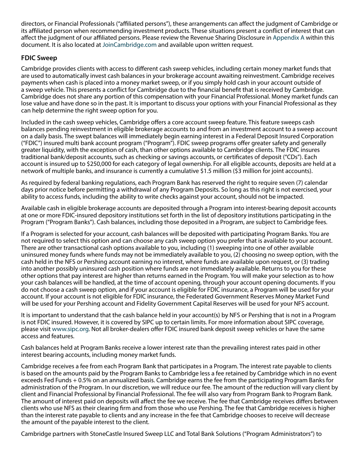directors, or Financial Professionals ("affiliated persons"), these arrangements can affect the judgment of Cambridge or its affiliated person when recommending investment products. These situations present a conflict of interest that can affect the judgment of our affiliated persons. Please review the Revenue Sharing Disclosure in [Appendix A](#page-10-0) within this document. It is also located at [JoinCambridge.com](http://www.joincambridge.com) and available upon written request.

## **FDIC Sweep**

Cambridge provides clients with access to different cash sweep vehicles, including certain money market funds that are used to automatically invest cash balances in your brokerage account awaiting reinvestment. Cambridge receives payments when cash is placed into a money market sweep, or if you simply hold cash in your account outside of a sweep vehicle. This presents a conflict for Cambridge due to the financial benefit that is received by Cambridge. Cambridge does not share any portion of this compensation with your Financial Professional. Money market funds can lose value and have done so in the past. It is important to discuss your options with your Financial Professional as they can help determine the right sweep option for you.

Included in the cash sweep vehicles, Cambridge offers a core account sweep feature. This feature sweeps cash balances pending reinvestment in eligible brokerage accounts to and from an investment account to a sweep account on a daily basis. The swept balances will immediately begin earning interest in a Federal Deposit Insured Corporation ("FDIC") insured multi bank account program ("Program"). FDIC sweep programs offer greater safety and generally greater liquidity, with the exception of cash, than other options available to Cambridge clients. The FDIC insures traditional bank/deposit accounts, such as checking or savings accounts, or certificates of deposit ("CDs"). Each account is insured up to \$250,000 for each category of legal ownership. For all eligible accounts, deposits are held at a network of multiple banks, and insurance is currently a cumulative \$1.5 million (\$3 million for joint accounts).

As required by federal banking regulations, each Program Bank has reserved the right to require seven (7) calendar days prior notice before permitting a withdrawal of any Program Deposits. So long as this right is not exercised, your ability to access funds, including the ability to write checks against your account, should not be impacted.

Available cash in eligible brokerage accounts are deposited through a Program into interest-bearing deposit accounts at one or more FDIC-insured depository institutions set forth in the list of depository institutions participating in the Program ("Program Banks"). Cash balances, including those deposited in a Program, are subject to Cambridge fees.

If a Program is selected for your account, cash balances will be deposited with participating Program Banks. You are not required to select this option and can choose any cash sweep option you prefer that is available to your account. There are other transactional cash options available to you, including (1) sweeping into one of other available uninsured money funds where funds may not be immediately available to you, (2) choosing no sweep option, with the cash held in the NFS or Pershing account earning no interest, where funds are available upon request, or (3) trading into another possibly uninsured cash position where funds are not immediately available. Returns to you for these other options that pay interest are higher than returns earned in the Program. You will make your selection as to how your cash balances will be handled, at the time of account opening, through your account opening documents. If you do not choose a cash sweep option, and if your account is eligible for FDIC insurance, a Program will be used for your account. If your account is not eligible for FDIC insurance, the Federated Government Reserves Money Market Fund will be used for your Pershing account and Fidelity Government Capital Reserves will be used for your NFS account.

It is important to understand that the cash balance held in your account(s) by NFS or Pershing that is not in a Program is not FDIC insured. However, it is covered by SIPC up to certain limits. For more information about SIPC coverage, please visit [www.sipc.org.](http://www.sipc.org) Not all broker-dealers offer FDIC insured bank deposit sweep vehicles or have the same access and features.

Cash balances held at Program Banks receive a lower interest rate than the prevailing interest rates paid in other interest bearing accounts, including money market funds.

Cambridge receives a fee from each Program Bank that participates in a Program. The interest rate payable to clients is based on the amounts paid by the Program Banks to Cambridge less a fee retained by Cambridge which in no event exceeds Fed Funds + 0.5% on an annualized basis. Cambridge earns the fee from the participating Program Banks for administration of the Program. In our discretion, we will reduce our fee. The amount of the reduction will vary client by client and Financial Professional by Financial Professional. The fee will also vary from Program Bank to Program Bank. The amount of interest paid on deposits will affect the fee we receive. The fee that Cambridge receives differs between clients who use NFS as their clearing firm and from those who use Pershing. The fee that Cambridge receives is higher than the interest rate payable to clients and any increase in the fee that Cambridge chooses to receive will decrease the amount of the payable interest to the client.

Cambridge partners with StoneCastle Insured Sweep LLC and Total Bank Solutions ("Program Administrators") to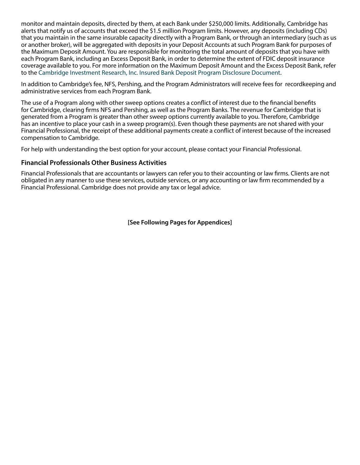monitor and maintain deposits, directed by them, at each Bank under \$250,000 limits. Additionally, Cambridge has alerts that notify us of accounts that exceed the \$1.5 million Program limits. However, any deposits (including CDs) that you maintain in the same insurable capacity directly with a Program Bank, or through an intermediary (such as us or another broker), will be aggregated with deposits in your Deposit Accounts at such Program Bank for purposes of the Maximum Deposit Amount. You are responsible for monitoring the total amount of deposits that you have with each Program Bank, including an Excess Deposit Bank, in order to determine the extent of FDIC deposit insurance coverage available to you. For more information on the Maximum Deposit Amount and the Excess Deposit Bank, refer to the [Cambridge Investment Research, Inc. Insured Bank Deposit Program Disclosure Document.](https://www.joincambridge.com/information-for-investors/investor-resources/cambridge-disclosures/)

In addition to Cambridge's fee, NFS, Pershing, and the Program Administrators will receive fees for recordkeeping and administrative services from each Program Bank.

The use of a Program along with other sweep options creates a conflict of interest due to the financial benefits for Cambridge, clearing firms NFS and Pershing, as well as the Program Banks. The revenue for Cambridge that is generated from a Program is greater than other sweep options currently available to you. Therefore, Cambridge has an incentive to place your cash in a sweep program(s). Even though these payments are not shared with your Financial Professional, the receipt of these additional payments create a conflict of interest because of the increased compensation to Cambridge.

For help with understanding the best option for your account, please contact your Financial Professional.

### **Financial Professionals Other Business Activities**

Financial Professionals that are accountants or lawyers can refer you to their accounting or law firms. Clients are not obligated in any manner to use these services, outside services, or any accounting or law firm recommended by a Financial Professional. Cambridge does not provide any tax or legal advice.

**[See Following Pages for Appendices]**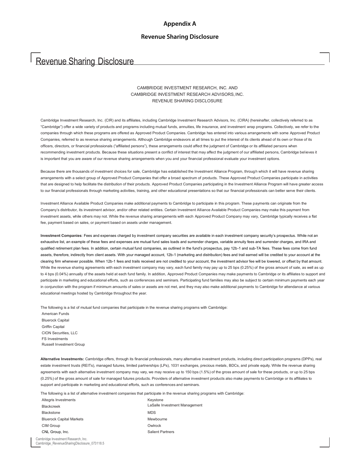# <span id="page-10-0"></span>Revenue Sharing Disclosure

#### CAMBRIDGE INVESTMENT RESEARCH, INC. AND CAMBRIDGE INVESTMENT RESEARCH ADVISORS,INC. REVENUE SHARING DISCLOSURE

Cambridge Investment Research, Inc. (CIR) and its affiliates, including Cambridge Investment Research Advisors, Inc. (CIRA) (hereinafter, collectively referred to as "Cambridge") offer a wide variety of products and programs including mutual funds, annuities, life insurance, and investment wrap programs. Collectively, we refer to the companies through which these programs are offered as Approved Product Companies. Cambridge has entered into various arrangements with some Approved Product Companies, referred to as revenue sharing arrangements. Although Cambridge endeavors at all times to put the interest of its clients ahead of its own or those of its officers, directors, or financial professionals ("affiliated persons"), these arrangements could affect the judgment of Cambridge or its affiliated persons when recommending investment products. Because these situations present a conflict of interest that may affect the judgment of our affiliated persons, Cambridge believes it is important that you are aware of our revenue sharing arrangements when you and your financial professional evaluate your investment options.

Because there are thousands of investment choices for sale, Cambridge has established the Investment Alliance Program, through which it will have revenue sharing arrangements with a select group of Approved Product Companies that offer a broad spectrum of products. These Approved Product Companies participate in activities that are designed to help facilitate the distribution of their products. Approved Product Companies participating in the Investment Alliance Program will have greater access to our financial professionals through marketing activities, training, and other educational presentations so that our financial professionals can better serve their clients.

Investment Alliance Available Product Companies make additional payments to Cambridge to participate in this program. These payments can originate from the Company's distributor, its investment advisor, and/or other related entities. Certain Investment Alliance Available Product Companies may make this payment from investment assets, while others may not. While the revenue sharing arrangements with each Approved Product Company may vary, Cambridge typically receives a flat fee, payment based on sales, or payment based on assets under management.

**Investment Companies**: Fees and expenses charged by investment company securities are available in each investment company security's prospectus. While not an exhaustive list, an example of these fees and expenses are mutual fund sales loads and surrender charges, variable annuity fees and surrender charges, and IRA and qualified retirement plan fees. In addition, certain mutual fund companies, as outlined in the fund's prospectus, pay 12b-1 and sub-TA fees. These fees come from fund assets, therefore, indirectly from client assets. With your managed account, 12b-1 (marketing and distribution) fees and trail earned will be credited to your account at the clearing firm whenever possible. When 12b-1 fees and trails received are not credited to your account, the investment advisor fee will be lowered, or offset by that amount. While the revenue sharing agreements with each investment company may vary, each fund family may pay up to 25 bps (0.25%) of the gross amount of sale, as well as up to 4 bps (0.04%) annually of the assets held at each fund family. In addition, Approved Product Companies may make payments to Cambridge or its affiliates to support and participate in marketing and educational efforts, such as conferences and seminars. Participating fund families may also be subject to certain minimum payments each year in conjunction with the program if minimum amounts of sales or assets are not met, and they may also make additional payments to Cambridge for attendance at various educational meetings hosted by Cambridge throughout the year.

The following is a list of mutual fund companies that participate in the revenue sharing programs with Cambridge:

American Funds Bluerock Capital Griffin Capital CION Securities, LLC FS Investments Russell Investment Group

**Alternative Investments:** Cambridge offers, through its financial professionals, many alternative investment products, including direct participation programs (DPPs), real estate investment trusts (REITs), managed futures, limited partnerships (LPs), 1031 exchanges, precious metals, BDCs, and private equity. While the revenue sharing agreements with each alternative investment company may vary, we may receive up to 150 bps (1.5%) of the gross amount of sale for these products, or up to 25 bps (0.25%) of the gross amount of sale for managed futures products. Providers of alternative investment products also make payments to Cambridge or its affiliates to support and participate in marketing and educational efforts, such as conferences and seminars.

The following is a list of alternative investment companies that participate in the revenue sharing programs with Cambridge:

| Altegris Investments            | Keystone                      |
|---------------------------------|-------------------------------|
| Blackcreek                      | LaSalle Investment Management |
| <b>Blackstone</b>               | <b>MDS</b>                    |
| <b>Bluerock Capital Markets</b> | Mewbourne                     |
| CIM Group                       | Owlrock                       |
| CNL Group, Inc.                 | <b>Salient Partners</b>       |
|                                 |                               |

Cambridge Investment Research, Inc. Cambridge\_RevenueSharingDisclosure\_073118.5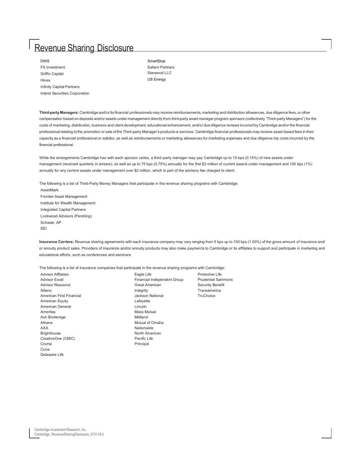| <b>DWS</b>                       | SmartStop   |
|----------------------------------|-------------|
| <b>FS</b> Investment             | Salient Par |
| Griffin Capital                  | Starwood L  |
| Hines                            | US Energy   |
| <b>Infinity Capital Partners</b> |             |
| Inland Securities Corporation    |             |

**SmartStop** Salient Partners Starwood LLC

**Third-party Managers:** Cambridge and/or its financial professionals may receive reimbursements, marketing and distribution allowances, due diligence fees, or other compensation based on deposits and/or assets under management directly from third-party asset manager program sponsors (collectively "Third-party Managers") for the costs of marketing, distribution, business and client development, educational enhancement, and/or due diligence reviews incurred by Cambridge and/or the financial professional relating to the promotion or sale of the Third-party Manager's products or services. Cambridge financial professionals may receive asset-based fees in their capacity as a financial professional or solicitor, as well as reimbursements or marketing allowances for marketing expenses and due diligence trip costs incurred by the financial professional.

While the arrangements Cambridge has with each sponsor varies, a third-party manager may pay Cambridge up to 15 bps (0.15%) of new assets under management (received quarterly in arrears), as well as up to 75 bps (0.75%) annually for the first \$2 million of current assets under management and 100 bps (1%) annually for any current assets under management over \$2 million, which is part of the advisory fee charged to client.

The following is a list of Third-Party Money Managers that participate in the revenue sharing programs with Cambridge:

AssetMark Frontier Asset Management Institute for Wealth Management Integrated Capital Partners Lockwood Advisors (Pershing) Schwab. AP SEI

**Insurance Carriers:** Revenue sharing agreements with each insurance company may vary ranging from 5 bps up to 100 bps (1.00%) of the gross amount of insurance and/ or annuity product sales. Providers of insurance and/or annuity products may also make payments to Cambridge or its affiliates to support and participate in marketing and educational efforts, such as conferences and seminars.

> Protective Life **Prudential Sammons** Security Benefit

The following is a list of insurance companies that participate in the revenue sharing programs with Cambridge:

| <b>Advisor Affiliates</b> | Eagle Life                  | <b>Protective Life</b> |
|---------------------------|-----------------------------|------------------------|
| Advisor Excel             | Financial Independent Group | <b>Prudential Sar</b>  |
| <b>Advisor Resource</b>   | <b>Great American</b>       | <b>Security Bene</b>   |
| Allianz                   | Integrity                   | Transamerica           |
| American First Financial  | Jackson National            | TruChoice              |
| American Equity           | Lafayette                   |                        |
| American General          | Lincoln                     |                        |
| Ameritas                  | Mass Mutual                 |                        |
| Ash Brokerage             | Midland                     |                        |
| Athene                    | Mutual of Omaha             |                        |
| AXA                       | Nationwide                  |                        |
| <b>Brighthouse</b>        | North American              |                        |
| CreativeOne (CMIC)        | Pacific Life                |                        |
| Crump                     | Principal                   |                        |
| Cuna                      |                             |                        |
| Delaware Life             |                             |                        |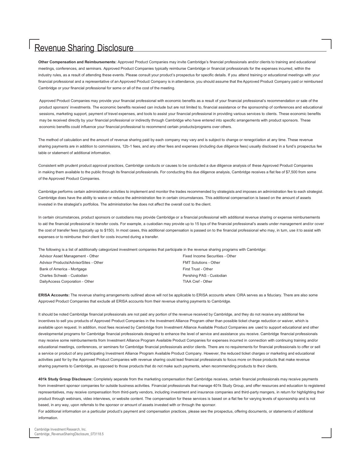**Other Compensation and Reimbursements:** Approved Product Companies may invite Cambridge's financial professionals and/or clients to training and educational meetings, conferences, and seminars. Approved Product Companies typically reimburse Cambridge or financial professionals for the expenses incurred, within the industry rules, as a result of attending these events. Please consult your product's prospectus for specific details. If you attend training or educational meetings with your financial professional and a representative of an Approved Product Company is in attendance, you should assume that the Approved Product Company paid or reimbursed Cambridge or your financial professional for some or all of the cost of the meeting.

Approved Product Companies may provide your financial professional with economic benefits as a result of your financial professional's recommendation or sale of the product sponsors' investments. The economic benefits received can include but are not limited to, financial assistance or the sponsorship of conferences and educational sessions, marketing support, payment of travel expenses, and tools to assist your financial professional in providing various services to clients. These economic benefits may be received directly by your financial professional or indirectly through Cambridge who have entered into specific arrangements with product sponsors. These economic benefits could influence your financial professional to recommend certain products/programs over others.

The method of calculation and the amount of revenue sharing paid by each company may vary and is subject to change or renegotiation at any time. These revenue sharing payments are in addition to commissions, 12b-1 fees, and any other fees and expenses (including due diligence fees) usually disclosed in a fund's prospectus fee table or statement of additional information.

Consistent with prudent product approval practices, Cambridge conducts or causes to be conducted a due diligence analysis of these Approved Product Companies in making them available to the public through its financial professionals. For conducting this due diligence analysis, Cambridge receives a flat fee of \$7,500 from some of the Approved Product Companies.

Cambridge performs certain administration activities to implement and monitor the trades recommended by strategists and imposes an administration fee to each strategist. Cambridge does have the ability to waive or reduce the administration fee in certain circumstances. This additional compensation is based on the amount of assets invested in the strategist's portfolios. The administration fee does not affect the overall cost to the client.

In certain circumstances, product sponsors or custodians may provide Cambridge or a financial professional with additional revenue sharing or expense reimbursements to aid the financial professional in transfer costs. For example, a custodian may provide up to 15 bps of the financial professional's assets under management and/or cover the cost of transfer fees (typically up to \$150). In most cases, this additional compensation is passed on to the financial professional who may, in turn, use it to assist with expenses or to reimburse their client for costs incurred during a transfer.

The following is a list of additionally categorized investment companies that participate in the revenue sharing programs with Cambridge: Advisor Asset Management - Other Fixed Income Securities - Other Fixed Income Securities - Other Advisor Products/AdvisorSites - Other FMT Solutions - Other Bank of America - Mortgage **First Trust - Other** First Trust - Other Charles Schwab - Custodian **Pershing PAS - Custodian** Pershing PAS - Custodian DailyAccess Corporation - Other TIAA Cref - Other

**ERISA Accounts:** The revenue sharing arrangements outlined above will not be applicable to ERISA accounts where CIRA serves as a fiduciary. There are also some Approved Product Companies that exclude all ERISA accounts from their revenue sharing payments to Cambridge.

It should be noted Cambridge financial professionals are not paid any portion of the revenue received by Cambridge, and they do not receive any additional fee incentives to sell you products of Approved Product Companies in the Investment Alliance Program other than possible ticket charge reduction or waiver, which is available upon request. In addition, most fees received by Cambridge from Investment Alliance Available Product Companies are used to support educational and other developmental programs for Cambridge financial professionals designed to enhance the level of service and assistance you receive. Cambridge financial professionals may receive some reimbursements from Investment Alliance Program Available Product Companies for expenses incurred in connection with continuing training and/or educational meetings, conferences, or seminars for Cambridge financial professionals and/or clients. There are no requirements for financial professionals to offer or sell a service or product of any participating Investment Alliance Program Available Product Company. However, the reduced ticket charges or marketing and educational activities paid for by the Approved Product Companies with revenue sharing could lead financial professionals to focus more on those products that make revenue sharing payments to Cambridge, as opposed to those products that do not make such payments, when recommending products to their clients.

**401k Study Group Disclosure:** Completely separate from the marketing compensation that Cambridge receives, certain financial professionals may receive payments from investment sponsor companies for outside business activities. Financial professionals that manage 401k Study Group, and offer resources and education to registered representatives, may receive compensation from third-party vendors, including investment and insurance companies and third-party mangers, in return for highlighting their product through webinars, video interviews, or website content. The compensation for these services is based on a flat fee for varying levels of sponsorship and is not based, in any way, upon referrals to the sponsor or amount of assets invested with or through the sponsor.

For additional information on a particular product's payment and compensation practices, please see the prospectus, offering documents, or statements of additional information.

Cambridge Investment Research, Inc. Cambridge\_RevenueSharingDisclosure\_073118.5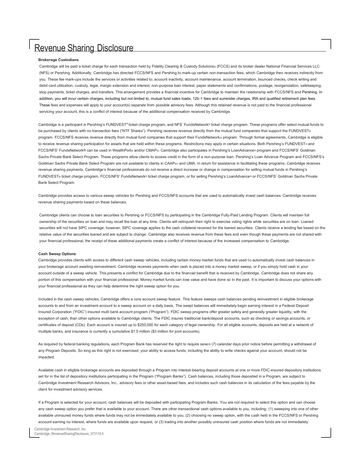#### **Brokerage Custodians**

Cambridge will be paid a ticket charge for each transaction held by Fidelity Clearing & Custody Solutions® (FCCS) and its broker dealer National Financial Services LLC (NFS) or Pershing. Additionally, Cambridge has directed FCCS/NFS and Pershing to mark-up certain non-transaction fees, which Cambridge then receives indirectly from you. These fee mark-ups include the services or activities related to; account inactivity, account maintenance, account termination, bounced checks, check writing and debit card utilization, custody, legal, margin extension and interest, non-purpose loan interest, paper statements and confirmations, postage, reorganization, safekeeping, stop payments, ticket charges, and transfers. This arrangement provides a financial incentive for Cambridge to maintain the relationship with FCCS/NFS and Pershing. In addition, you will incur certain charges, including but not limited to, mutual fund sales loads, 12b-1 fees and surrender charges, IRA and qualified retirement plan fees. These fees and expenses will apply to your account(s) separate from possible advisory fees. Although this retained revenue is not paid to the financial professional servicing your account, this is a conflict of interest because of the additional compensation received by Cambridge.

Cambridge is a participant in Pershing's FUNDVEST® ticket charge program, and NFS' FundsNetwork® ticket charge program. These programs offer select mutual funds to be purchased by clients with no transaction fees ("NTF Shares"). Pershing receives revenue directly from the mutual fund companies that support the FUNDVEST® program. FCCS/NFS receives revenue directly from mutual fund companies that support their FundsNetwork® program. Through formal agreements, Cambridge is eligible to receive revenue sharing participation for assets that are held within these programs. Restrictions may apply in certain situations. Both Pershing's FUNDVEST® and FCCS/NFS' FundsNetwork® can be used in WealthPort® and/or CMAP®. Cambridge also participates in Pershing's LoanAdvance® program and FCCS/NFS' Goldman Sachs Private Bank Select Program. These programs allow clients to access credit in the form of a non-purpose loan. Pershing's Loan Advance Program and FCCS/NFS's Goldman Sachs Private Bank Select Program are not available to clients in CAAP®1 and UMA. In return for assistance in facilitating these programs, Cambridge receives revenue sharing payments. Cambridge's financial professionals do not receive a direct increase or change in compensation for selling mutual funds in Pershing's FUNDVEST® ticket charge program, FCCS/NFS' FundsNetwork® ticket charge program, or for selling Pershing's LoanAdvance® or FCCS/NFS' Goldman Sachs Private Bank Select Program.

Cambridge provides access to various sweep vehicles for Pershing and FCCS/NFS accounts that are used to automatically invest cash balances. Cambridge receives revenue sharing payments based on these balances.

Cambridge clients can choose to loan securities to Pershing or FCCS/NFS by participating in the Cambridge Fully-Paid Lending Program. Clients will maintain full ownership of the securities on loan and may recall the loan at any time. Clients will relinquish their right to exercise voting rights while securities are on loan. Loaned securities will not have SIPC coverage; however, SIPC coverage applies to the cash collateral received for the loaned securities. Clients receive a lending fee based on the relative value of the securities loaned and are subject to change. Cambridge also receives revenue from these fees and even though these payments are not shared with your financial professional, the receipt of these additional payments create a conflict of interest because of the increased compensation to Cambridge.

#### **Cash Sweep Options**

Cambridge provides clients with access to different cash sweep vehicles, including certain money market funds that are used to automatically invest cash balances in your brokerage account awaiting reinvestment. Cambridge receives payments when cash is placed into a money market sweep, or if you simply hold cash in your account outside of a sweep vehicle. This presents a conflict for Cambridge due to the financial benefit that is received by Cambridge. Cambridge does not share any portion of this compensation with your financial professional. Money market funds can lose value and have done so in the past. It is important to discuss your options with your financial professional as they can help determine the right sweep option for you.

Included in the cash sweep vehicles, Cambridge offers a core account sweep feature. This feature sweeps cash balances pending reinvestment in eligible brokerage accounts to and from an investment account to a sweep account on a daily basis. The swept balances will immediately begin earning interest in a Federal Deposit Insured Corporation ("FDIC") insured multi bank account program ("Program"). FDIC sweep programs offer greater safety and generally greater liquidity, with the exception of cash, than other options available to Cambridge clients. The FDIC insures traditional bank/deposit accounts, such as checking or savings accounts, or certificates of deposit (CDs). Each account is insured up to \$250,000 for each category of legal ownership. For all eligible accounts, deposits are held at a network of multiple banks, and insurance is currently a cumulative \$1.5 million (\$3 million for joint accounts).

As required by federal banking regulations, each Program Bank has reserved the right to require seven (7) calendar days prior notice before permitting a withdrawal of any Program Deposits. So long as this right is not exercised, your ability to access funds, including the ability to write checks against your account, should not be impacted.

Available cash in eligible brokerage accounts are deposited through a Program into interest-bearing deposit accounts at one or more FDIC-insured depository institutions set for in the list of depository institutions participating in the Program ("Program Banks"). Cash balances, including those deposited in a Program, are subject to Cambridge Investment Research Advisors, Inc., advisory fees or other asset-based fees, and includes such cash balances in its calculation of the fees payable by the client for investment advisory services.

If a Program is selected for your account, cash balances will be deposited with participating Program Banks. You are not required to select this option and can choose any cash sweep option you prefer that is available to your account. There are other transactional cash options available to you, including: (1) sweeping into one of other available uninsured money funds where funds may not be immediately available to you, (2) choosing no sweep option, with the cash held in the FCCS/NFS or Pershing account earning no interest, where funds are available upon request, or (3) trading into another possibly uninsured cash position where funds are not immediately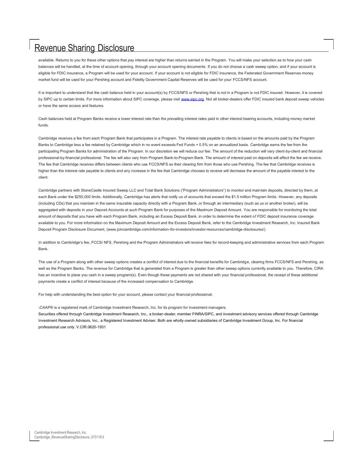available. Returns to you for these other options that pay interest are higher than returns earned in the Program. You will make your selection as to how your cash balances will be handled, at the time of account opening, through your account opening documents. If you do not choose a cash sweep option, and if your account is eligible for FDIC insurance, a Program will be used for your account. If your account is not eligible for FDIC insurance, the Federated Government Reserves money market fund will be used for your Pershing account and Fidelity Government Capital Reserves will be used for your FCCS/NFS account.

It is important to understand that the cash balance held in your account(s) by FCCS/NFS or Pershing that is not in a Program is not FDIC insured. However, it is covered by SIPC up to certain limits. For more information about SIPC coverage, please visit www.sipc.org. Not all broker-dealers offer FDIC insured bank deposit sweep vehicles or have the same access and features.

Cash balances held at Program Banks receive a lower interest rate than the prevailing interest rates paid in other interest bearing accounts, including money market funds.

Cambridge receives a fee from each Program Bank that participates in a Program. The interest rate payable to clients is based on the amounts paid by the Program Banks to Cambridge less a fee retained by Cambridge which in no event exceeds Fed Funds + 0.5% on an annualized basis. Cambridge earns the fee from the participating Program Banks for administration of the Program. In our discretion we will reduce our fee. The amount of the reduction will vary client-by-client and financial professional-by-financial professional. The fee will also vary from Program Bank-to-Program Bank. The amount of interest paid on deposits will affect the fee we receive. The fee that Cambridge receives differs between clients who use FCCS/NFS as their clearing firm from those who use Pershing. The fee that Cambridge receives is higher than the interest rate payable to clients and any increase in the fee that Cambridge chooses to receive will decrease the amount of the payable interest to the client.

Cambridge partners with StoneCastle Insured Sweep LLC and Total Bank Solutions ("Program Administrators") to monitor and maintain deposits, directed by them, at each Bank under the \$250,000 limits. Additionally, Cambridge has alerts that notify us of accounts that exceed the \$1.5 million Program limits. However, any deposits (including CDs) that you maintain in the same insurable capacity directly with a Program Bank, or through an intermediary (such as us or another broker), will be aggregated with deposits in your Deposit Accounts at such Program Bank for purposes of the Maximum Deposit Amount. You are responsible for monitoring the total amount of deposits that you have with each Program Bank, including an Excess Deposit Bank, in order to determine the extent of FDIC deposit insurance coverage available to you. For more information on the Maximum Deposit Amount and the Excess Deposit Bank, refer to the Cambridge Investment Research, Inc. Insured Bank Deposit Program Disclosure Document, (www.joincambridge.com/information-for-investors/investor-resources/cambridge-disclosures/).

In addition to Cambridge's fee, FCCS/ NFS, Pershing and the Program Administrators will receive fees for record-keeping and administrative services from each Program Bank.

The use of a Program along with other sweep options creates a conflict of interest due to the financial benefits for Cambridge, clearing firms FCCS/NFS and Pershing, as well as the Program Banks. The revenue for Cambridge that is generated from a Program is greater than other sweep options currently available to you. Therefore, CIRA has an incentive to place you cash in a sweep program(s). Even though these payments are not shared with your financial professional, the receipt of these additional payments create a conflict of interest because of the increased compensation to Cambridge.

For help with understanding the best option for your account, please contact your financial professional.

1CAAP® is a registered mark of Cambridge Investment Research, Inc. for its program for investment managers. Securities offered through Cambridge Investment Research, Inc., a broker-dealer, member FINRA/SIPC, and investment advisory services offered through Cambridge Investment Research Advisors, Inc., a Registered Investment Adviser. Both are wholly-owned subsidiaries of Cambridge Investment Group, Inc. For financial professional use only. V.CIR.0620-1931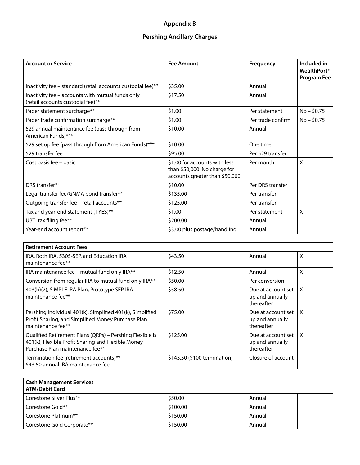## **Appendix B**

## **Pershing Ancillary Charges**

<span id="page-15-0"></span>

| <b>Account or Service</b>                                                             | <b>Fee Amount</b>                                                                                | Frequency         | Included in<br><b>WealthPort</b> <sup>®</sup><br>Program Fee |
|---------------------------------------------------------------------------------------|--------------------------------------------------------------------------------------------------|-------------------|--------------------------------------------------------------|
| Inactivity fee - standard (retail accounts custodial fee)**                           | \$35.00                                                                                          | Annual            |                                                              |
| Inactivity fee - accounts with mutual funds only<br>(retail accounts custodial fee)** | \$17.50                                                                                          | Annual            |                                                              |
| Paper statement surcharge**                                                           | \$1.00                                                                                           | Per statement     | $No - $0.75$                                                 |
| Paper trade confirmation surcharge**                                                  | \$1.00                                                                                           | Per trade confirm | $No - $0.75$                                                 |
| 529 annual maintenance fee (pass through from<br>American Funds)***                   | \$10.00                                                                                          | Annual            |                                                              |
| 529 set up fee (pass through from American Funds)***                                  | \$10.00                                                                                          | One time          |                                                              |
| 529 transfer fee                                                                      | \$95.00                                                                                          | Per 529 transfer  |                                                              |
| Cost basis fee - basic                                                                | \$1.00 for accounts with less<br>than \$50,000. No charge for<br>accounts greater than \$50.000. | Per month         | X                                                            |
| DRS transfer**                                                                        | \$10.00                                                                                          | Per DRS transfer  |                                                              |
| Legal transfer fee/GNMA bond transfer**                                               | \$135.00                                                                                         | Per transfer      |                                                              |
| Outgoing transfer fee - retail accounts**                                             | \$125.00                                                                                         | Per transfer      |                                                              |
| Tax and year-end statement (TYES)**                                                   | \$1.00                                                                                           | Per statement     | Χ                                                            |
| UBTI tax filing fee**                                                                 | \$200.00                                                                                         | Annual            |                                                              |
| Year-end account report**                                                             | \$3.00 plus postage/handling                                                                     | Annual            |                                                              |

| <b>Retirement Account Fees</b>                                                                                                                    |                              |                                                     |   |
|---------------------------------------------------------------------------------------------------------------------------------------------------|------------------------------|-----------------------------------------------------|---|
| IRA, Roth IRA, 5305-SEP, and Education IRA<br>maintenance fee**                                                                                   | \$43.50                      | Annual                                              | X |
| IRA maintenance fee - mutual fund only IRA**                                                                                                      | \$12.50                      | Annual                                              | X |
| Conversion from regular IRA to mutual fund only IRA**                                                                                             | \$50.00                      | Per conversion                                      |   |
| 403(b)(7), SIMPLE IRA Plan, Prototype SEP IRA<br>maintenance fee**                                                                                | \$58.50                      | Due at account set<br>up and annually<br>thereafter | X |
| Pershing Individual 401(k), Simplified 401(k), Simplified<br>Profit Sharing, and Simplified Money Purchase Plan<br>maintenance fee**              | \$75.00                      | Due at account set<br>up and annually<br>thereafter | X |
| Qualified Retirement Plans (QRPs) - Pershing Flexible is<br>401(k), Flexible Profit Sharing and Flexible Money<br>Purchase Plan maintenance fee** | \$125.00                     | Due at account set<br>up and annually<br>thereafter | X |
| Termination fee (retirement accounts)**<br>\$43.50 annual IRA maintenance fee                                                                     | \$143.50 (\$100 termination) | Closure of account                                  |   |

| Cash Management Services<br>ATM/Debit Card |          |        |
|--------------------------------------------|----------|--------|
| l Corestone Silver Plus**                  | \$50.00  | Annual |
| l Corestone Gold**                         | \$100.00 | Annual |
| Corestone Platinum**                       | \$150.00 | Annual |
| Corestone Gold Corporate**                 | \$150.00 | Annual |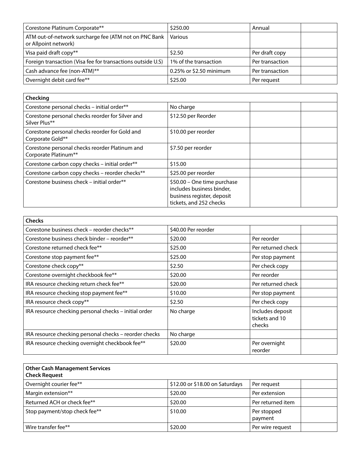| Corestone Platinum Corporate**                                                | \$250.00                | Annual          |
|-------------------------------------------------------------------------------|-------------------------|-----------------|
| ATM out-of-network surcharge fee (ATM not on PNC Bank<br>or Allpoint network) | Various                 |                 |
| Visa paid draft copy**                                                        | \$2.50                  | Per draft copy  |
| Foreign transaction (Visa fee for transactions outside U.S)                   | 1% of the transaction   | Per transaction |
| Cash advance fee (non-ATM)**                                                  | 0.25% or \$2.50 minimum | Per transaction |
| Overnight debit card fee**                                                    | \$25.00                 | Per request     |

| Checking                                                               |                                                                                                                   |
|------------------------------------------------------------------------|-------------------------------------------------------------------------------------------------------------------|
| Corestone personal checks - initial order**                            | No charge                                                                                                         |
| Corestone personal checks reorder for Silver and<br>Silver Plus**      | \$12.50 per Reorder                                                                                               |
| Corestone personal checks reorder for Gold and<br>Corporate Gold**     | \$10.00 per reorder                                                                                               |
| Corestone personal checks reorder Platinum and<br>Corporate Platinum** | \$7.50 per reorder                                                                                                |
| Corestone carbon copy checks - initial order**                         | \$15.00                                                                                                           |
| Corestone carbon copy checks - reorder checks**                        | \$25.00 per reorder                                                                                               |
| Corestone business check - initial order**                             | \$50.00 - One time purchase<br>includes business binder,<br>business register, deposit<br>tickets, and 252 checks |

| <b>Checks</b>                                          |                     |                                              |
|--------------------------------------------------------|---------------------|----------------------------------------------|
| Corestone business check – reorder checks**            | \$40.00 Per reorder |                                              |
| Corestone business check binder – reorder**            | \$20.00             | Per reorder                                  |
| Corestone returned check fee**                         | \$25.00             | Per returned check                           |
| Corestone stop payment fee**                           | \$25.00             | Per stop payment                             |
| Corestone check copy**                                 | \$2.50              | Per check copy                               |
| Corestone overnight checkbook fee**                    | \$20.00             | Per reorder                                  |
| IRA resource checking return check fee**               | \$20.00             | Per returned check                           |
| IRA resource checking stop payment fee**               | \$10.00             | Per stop payment                             |
| IRA resource check copy**                              | \$2.50              | Per check copy                               |
| IRA resource checking personal checks - initial order  | No charge           | Includes deposit<br>tickets and 10<br>checks |
| IRA resource checking personal checks - reorder checks | No charge           |                                              |
| IRA resource checking overnight checkbook fee**        | \$20.00             | Per overnight<br>reorder                     |

| <b>Other Cash Management Services</b><br><b>Check Request</b> |                                 |                        |
|---------------------------------------------------------------|---------------------------------|------------------------|
| Overnight courier fee**                                       | \$12.00 or \$18.00 on Saturdays | Per request            |
| Margin extension**                                            | \$20.00                         | Per extension          |
| Returned ACH or check fee**                                   | \$20.00                         | Per returned item      |
| Stop payment/stop check fee**                                 | \$10.00                         | Per stopped<br>payment |
| Wire transfer fee**                                           | \$20.00                         | Per wire request       |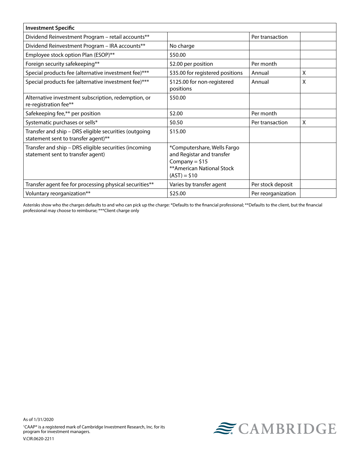| <b>Investment Specific</b>                                                                   |                                                                                                                            |                    |   |
|----------------------------------------------------------------------------------------------|----------------------------------------------------------------------------------------------------------------------------|--------------------|---|
| Dividend Reinvestment Program - retail accounts**                                            |                                                                                                                            | Per transaction    |   |
| Dividend Reinvestment Program - IRA accounts**                                               | No charge                                                                                                                  |                    |   |
| Employee stock option Plan (ESOP)**                                                          | \$50.00                                                                                                                    |                    |   |
| Foreign security safekeeping**                                                               | \$2.00 per position                                                                                                        | Per month          |   |
| Special products fee (alternative investment fee)***                                         | \$35.00 for registered positions                                                                                           | Annual             | x |
| Special products fee (alternative investment fee)***                                         | \$125.00 for non-registered<br>positions                                                                                   | Annual             | X |
| Alternative investment subscription, redemption, or<br>re-registration fee**                 | \$50.00                                                                                                                    |                    |   |
| Safekeeping fee,** per position                                                              | \$2.00                                                                                                                     | Per month          |   |
| Systematic purchases or sells*                                                               | \$0.50                                                                                                                     | Per transaction    | X |
| Transfer and ship - DRS eligible securities (outgoing<br>statement sent to transfer agent)** | \$15.00                                                                                                                    |                    |   |
| Transfer and ship - DRS eligible securities (incoming<br>statement sent to transfer agent)   | *Computershare, Wells Fargo<br>and Registar and transfer<br>Company = $$15$<br>** American National Stock<br>$(AST) = $10$ |                    |   |
| Transfer agent fee for processing physical securities**                                      | Varies by transfer agent                                                                                                   | Per stock deposit  |   |
| Voluntary reorganization**                                                                   | \$25.00                                                                                                                    | Per reorganization |   |

Asterisks show who the charges defaults to and who can pick up the charge: \*Defaults to the financial professional; \*\*Defaults to the client, but the financial professional may choose to reimburse; \*\*\*Client charge only

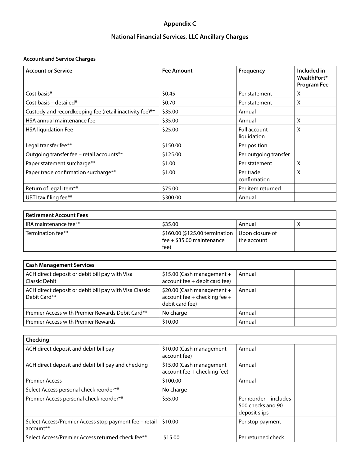## **Appendix C**

## **National Financial Services, LLC Ancillary Charges**

## <span id="page-18-0"></span>**Account and Service Charges**

| <b>Account or Service</b>                               | <b>Fee Amount</b> | Frequency                   | Included in<br><b>WealthPort</b> <sup>®</sup><br><b>Program Fee</b> |
|---------------------------------------------------------|-------------------|-----------------------------|---------------------------------------------------------------------|
| Cost basis*                                             | \$0.45            | Per statement               | X                                                                   |
| Cost basis – detailed*                                  | \$0.70            | Per statement               | X                                                                   |
| Custody and recordkeeping fee (retail inactivity fee)** | \$35.00           | Annual                      |                                                                     |
| HSA annual maintenance fee                              | \$35.00           | Annual                      | Χ                                                                   |
| <b>HSA liquidation Fee</b>                              | \$25.00           | Full account<br>liquidation | X                                                                   |
| Legal transfer fee**                                    | \$150.00          | Per position                |                                                                     |
| Outgoing transfer fee - retail accounts**               | \$125.00          | Per outgoing transfer       |                                                                     |
| Paper statement surcharge**                             | \$1.00            | Per statement               | X                                                                   |
| Paper trade confirmation surcharge**                    | \$1.00            | Per trade<br>confirmation   | X                                                                   |
| Return of legal item**                                  | \$75.00           | Per item returned           |                                                                     |
| UBTI tax filing fee**                                   | \$300.00          | Annual                      |                                                                     |

| <b>Retirement Account Fees</b> |                                                                                                      |             |  |
|--------------------------------|------------------------------------------------------------------------------------------------------|-------------|--|
| IRA maintenance fee**          | \$35.00                                                                                              | Annual      |  |
| Termination fee**              | $\frac{1}{2}$ \$160.00 (\$125.00 termination   Upon closure of<br>fee + $$35.00$ maintenance<br>fee) | the account |  |

| <b>Cash Management Services</b>                                        |                                                                               |        |
|------------------------------------------------------------------------|-------------------------------------------------------------------------------|--------|
| ACH direct deposit or debit bill pay with Visa<br>Classic Debit        | $$15.00$ (Cash management +<br>account fee + debit card fee)                  | Annual |
| ACH direct deposit or debit bill pay with Visa Classic<br>Debit Card** | \$20.00 (Cash management +<br>account fee + checking fee +<br>debit card fee) | Annual |
| Premier Access with Premier Rewards Debit Card**                       | No charge                                                                     | Annual |
| <b>Premier Access with Premier Rewards</b>                             | \$10.00                                                                       | Annual |

| Checking                                                                        |                                                         |                                                              |
|---------------------------------------------------------------------------------|---------------------------------------------------------|--------------------------------------------------------------|
| ACH direct deposit and debit bill pay                                           | \$10.00 (Cash management<br>account fee)                | Annual                                                       |
| ACH direct deposit and debit bill pay and checking                              | \$15.00 (Cash management<br>account fee + checking fee) | Annual                                                       |
| <b>Premier Access</b>                                                           | \$100.00                                                | Annual                                                       |
| Select Access personal check reorder**                                          | No charge                                               |                                                              |
| Premier Access personal check reorder**                                         | \$55.00                                                 | Per reorder – includes<br>500 checks and 90<br>deposit slips |
| Select Access/Premier Access stop payment fee - retail<br>account <sup>**</sup> | \$10.00                                                 | Per stop payment                                             |
| Select Access/Premier Access returned check fee**                               | \$15.00                                                 | Per returned check                                           |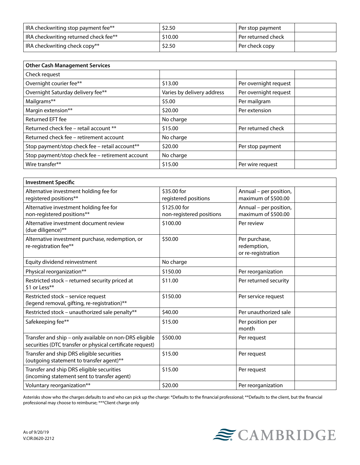| IRA checkwriting stop payment fee**   | \$2.50  | Per stop payment     |
|---------------------------------------|---------|----------------------|
| IRA checkwriting returned check fee** | \$10.00 | l Per returned check |
| IRA checkwriting check copy**         | \$2.50  | Per check copy       |

| <b>Other Cash Management Services</b>            |                            |                       |
|--------------------------------------------------|----------------------------|-----------------------|
| Check request                                    |                            |                       |
| Overnight courier fee**                          | \$13.00                    | Per overnight request |
| Overnight Saturday delivery fee**                | Varies by delivery address | Per overnight request |
| Mailgrams**                                      | \$5.00                     | Per mailgram          |
| Margin extension**                               | \$20.00                    | Per extension         |
| Returned EFT fee                                 | No charge                  |                       |
| Returned check fee - retail account **           | \$15.00                    | Per returned check    |
| Returned check fee - retirement account          | No charge                  |                       |
| Stop payment/stop check fee - retail account**   | \$20.00                    | Per stop payment      |
| Stop payment/stop check fee - retirement account | No charge                  |                       |
| Wire transfer**                                  | \$15.00                    | Per wire request      |

| <b>Investment Specific</b>                                                                                          |                                          |                                                    |
|---------------------------------------------------------------------------------------------------------------------|------------------------------------------|----------------------------------------------------|
| Alternative investment holding fee for<br>registered positions**                                                    | \$35.00 for<br>registered positions      | Annual - per position,<br>maximum of \$500.00      |
| Alternative investment holding fee for<br>non-registered positions**                                                | \$125.00 for<br>non-registered positions | Annual - per position,<br>maximum of \$500.00      |
| Alternative investment document review<br>(due diligence)**                                                         | \$100.00                                 | Per review                                         |
| Alternative investment purchase, redemption, or<br>re-registration fee**                                            | \$50.00                                  | Per purchase,<br>redemption,<br>or re-registration |
| Equity dividend reinvestment                                                                                        | No charge                                |                                                    |
| Physical reorganization**                                                                                           | \$150.00                                 | Per reorganization                                 |
| Restricted stock - returned security priced at<br>\$1 or Less**                                                     | \$11.00                                  | Per returned security                              |
| Restricted stock - service request<br>(legend removal, gifting, re-registration)**                                  | \$150.00                                 | Per service request                                |
| Restricted stock - unauthorized sale penalty**                                                                      | \$40.00                                  | Per unauthorized sale                              |
| Safekeeping fee**                                                                                                   | \$15.00                                  | Per position per<br>month                          |
| Transfer and ship - only available on non-DRS eligible<br>securities (DTC transfer or physical certificate request) | \$500.00                                 | Per request                                        |
| Transfer and ship DRS eligible securities<br>(outgoing statement to transfer agent)**                               | \$15.00                                  | Per request                                        |
| Transfer and ship DRS eligible securities<br>(incoming statement sent to transfer agent)                            | \$15.00                                  | Per request                                        |
| Voluntary reorganization**                                                                                          | \$20.00                                  | Per reorganization                                 |

Asterisks show who the charges defaults to and who can pick up the charge: \*Defaults to the financial professional; \*\*Defaults to the client, but the financial professional may choose to reimburse; \*\*\*Client charge only